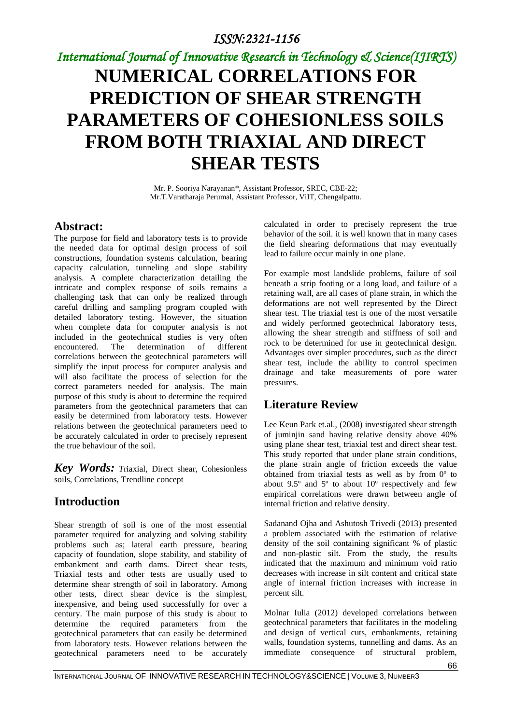# *International Journal of Innovative Research in Technology & Science(IJIRTS)*

# **NUMERICAL CORRELATIONS FOR PREDICTION OF SHEAR STRENGTH PARAMETERS OF COHESIONLESS SOILS FROM BOTH TRIAXIAL AND DIRECT SHEAR TESTS**

Mr. P. Sooriya Narayanan\*, Assistant Professor, SREC, CBE-22; Mr.T.Varatharaja Perumal, Assistant Professor, ViIT, Chengalpattu.

### **Abstract:**

The purpose for field and laboratory tests is to provide the needed data for optimal design process of soil constructions, foundation systems calculation, bearing capacity calculation, tunneling and slope stability analysis. A complete characterization detailing the intricate and complex response of soils remains a challenging task that can only be realized through careful drilling and sampling program coupled with detailed laboratory testing. However, the situation when complete data for computer analysis is not included in the geotechnical studies is very often encountered. The determination of different correlations between the geotechnical parameters will simplify the input process for computer analysis and will also facilitate the process of selection for the correct parameters needed for analysis. The main purpose of this study is about to determine the required parameters from the geotechnical parameters that can easily be determined from laboratory tests. However relations between the geotechnical parameters need to be accurately calculated in order to precisely represent the true behaviour of the soil.

*Key Words: T*riaxial, Direct shear, Cohesionless soils, Correlations, Trendline concept

# **Introduction**

Shear strength of soil is one of the most essential parameter required for analyzing and solving stability problems such as; lateral earth pressure, bearing capacity of foundation, slope stability, and stability of embankment and earth dams. Direct shear tests, Triaxial tests and other tests are usually used to determine shear strength of soil in laboratory. Among other tests, direct shear device is the simplest, inexpensive, and being used successfully for over a century. The main purpose of this study is about to determine the required parameters from the geotechnical parameters that can easily be determined from laboratory tests. However relations between the geotechnical parameters need to be accurately

calculated in order to precisely represent the true behavior of the soil. it is well known that in many cases the field shearing deformations that may eventually lead to failure occur mainly in one plane.

For example most landslide problems, failure of soil beneath a strip footing or a long load, and failure of a retaining wall, are all cases of plane strain, in which the deformations are not well represented by the Direct shear test. The triaxial test is one of the most versatile and widely performed geotechnical laboratory tests, allowing the shear strength and stiffness of soil and rock to be determined for use in geotechnical design. Advantages over simpler procedures, such as the direct shear test, include the ability to control specimen drainage and take measurements of pore water pressures.

### **Literature Review**

Lee Keun Park et.al., (2008) investigated shear strength of juminjin sand having relative density above 40% using plane shear test, triaxial test and direct shear test. This study reported that under plane strain conditions, the plane strain angle of friction exceeds the value obtained from triaxial tests as well as by from 0º to about 9.5º and 5º to about 10º respectively and few empirical correlations were drawn between angle of internal friction and relative density.

Sadanand Ojha and Ashutosh Trivedi (2013) presented a problem associated with the estimation of relative density of the soil containing significant % of plastic and non-plastic silt. From the study, the results indicated that the maximum and minimum void ratio decreases with increase in silt content and critical state angle of internal friction increases with increase in percent silt.

Molnar Iulia (2012) developed correlations between geotechnical parameters that facilitates in the modeling and design of vertical cuts, embankments, retaining walls, foundation systems, tunnelling and dams. As an immediate consequence of structural problem,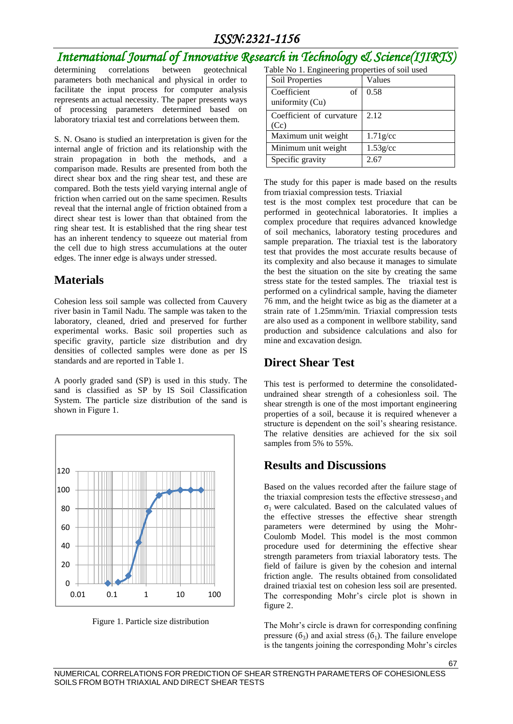# *International Journal of Innovative Research in Technology & Science(IJIRTS)*

determining correlations between geotechnical parameters both mechanical and physical in order to facilitate the input process for computer analysis represents an actual necessity. The paper presents ways of processing parameters determined based on laboratory triaxial test and correlations between them.

S. N. Osano is studied an interpretation is given for the internal angle of friction and its relationship with the strain propagation in both the methods, and a comparison made. Results are presented from both the direct shear box and the ring shear test, and these are compared. Both the tests yield varying internal angle of friction when carried out on the same specimen. Results reveal that the internal angle of friction obtained from a direct shear test is lower than that obtained from the ring shear test. It is established that the ring shear test has an inherent tendency to squeeze out material from the cell due to high stress accumulations at the outer edges. The inner edge is always under stressed.

### **Materials**

Cohesion less soil sample was collected from Cauvery river basin in Tamil Nadu. The sample was taken to the laboratory, cleaned, dried and preserved for further experimental works. Basic soil properties such as specific gravity, particle size distribution and dry densities of collected samples were done as per IS standards and are reported in Table 1.

A poorly graded sand (SP) is used in this study. The sand is classified as SP by IS Soil Classification System. The particle size distribution of the sand is shown in Figure 1.





Table No 1. Engineering properties of soil used

| Soil Properties                      | Values      |
|--------------------------------------|-------------|
| Coefficient<br>of<br>uniformity (Cu) | 0.58        |
| Coefficient of curvature<br>(Cc)     | 2.12        |
| Maximum unit weight                  | $1.71$ g/cc |
| Minimum unit weight                  | $1.53$ g/cc |
| Specific gravity                     | 2.67        |

The study for this paper is made based on the results from triaxial compression tests. Triaxial

test is the most complex test procedure that can be performed in geotechnical laboratories. It implies a complex procedure that requires advanced knowledge of soil mechanics, laboratory testing procedures and sample preparation. The triaxial test is the laboratory test that provides the most accurate results because of its complexity and also because it manages to simulate the best the situation on the site by creating the same stress state for the tested samples. The triaxial test is performed on a cylindrical sample, having the diameter 76 mm, and the height twice as big as the diameter at a strain rate of 1.25mm/min. Triaxial compression tests are also used as a component in wellbore stability, sand production and subsidence calculations and also for mine and excavation design.

#### **Direct Shear Test**

This test is performed to determine the consolidatedundrained shear strength of a cohesionless soil. The shear strength is one of the most important engineering properties of a soil, because it is required whenever a structure is dependent on the soil's shearing resistance. The relative densities are achieved for the six soil samples from 5% to 55%.

### **Results and Discussions**

Based on the values recorded after the failure stage of the triaxial compresion tests the effective stresses $\sigma_3$  and σ1 were calculated. Based on the calculated values of the effective stresses the effective shear strength parameters were determined by using the Mohr-Coulomb Model. This model is the most common procedure used for determining the effective shear strength parameters from triaxial laboratory tests. The field of failure is given by the cohesion and internal friction angle. The results obtained from consolidated drained triaxial test on cohesion less soil are presented. The corresponding Mohr's circle plot is shown in figure 2.

The Mohr's circle is drawn for corresponding confining pressure  $(6_3)$  and axial stress  $(6_1)$ . The failure envelope is the tangents joining the corresponding Mohr's circles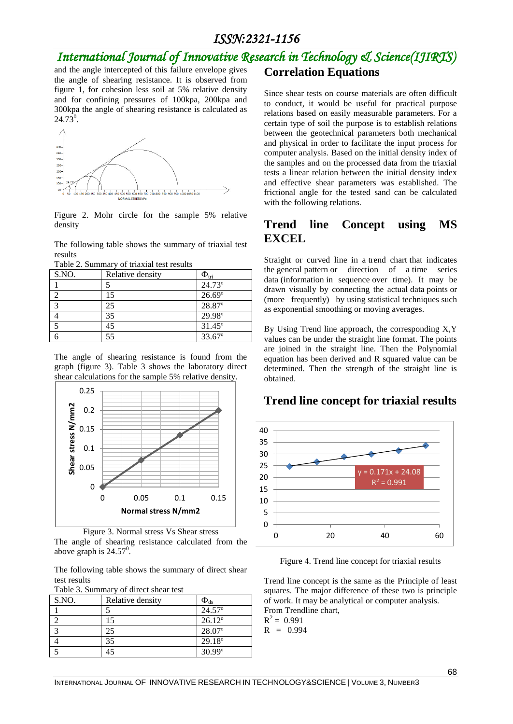# *International Journal of Innovative Research in Technology & Science(IJIRTS)*

and the angle intercepted of this failure envelope gives the angle of shearing resistance. It is observed from figure 1, for cohesion less soil at 5% relative density and for confining pressures of 100kpa, 200kpa and 300kpa the angle of shearing resistance is calculated as  $24.73^0$ .



Figure 2. Mohr circle for the sample 5% relative density

The following table shows the summary of triaxial test results

|  |  |  | Table 2. Summary of triaxial test results |
|--|--|--|-------------------------------------------|
|--|--|--|-------------------------------------------|

| S.NO.          | Relative density | $\Phi_{\rm tri}$ |
|----------------|------------------|------------------|
|                |                  | $24.73^{\circ}$  |
|                | 15               | 26.69°           |
| $\mathfrak{D}$ | 25               | 28.87°           |
|                | 35               | 29.98°           |
|                | 45               | $31.45^{\circ}$  |
|                | 55               | 33.67°           |

The angle of shearing resistance is found from the graph (figure 3). Table 3 shows the laboratory direct shear calculations for the sample 5% relative density.





The following table shows the summary of direct shear test results

Table 3. Summary of direct shear test

| S.NO. | Relative density | $\Phi_{ds}$     |
|-------|------------------|-----------------|
|       |                  | $24.57^{\circ}$ |
|       | 15               | $26.12^{\circ}$ |
|       | 25               | 28.07°          |
|       | 35               | $29.18^{\circ}$ |
|       |                  | $30.99^{\circ}$ |

# **Correlation Equations**

Since shear tests on course materials are often difficult to conduct, it would be useful for practical purpose relations based on easily measurable parameters. For a certain type of soil the purpose is to establish relations between the geotechnical parameters both mechanical and physical in order to facilitate the input process for computer analysis. Based on the initial density index of the samples and on the processed data from the triaxial tests a linear relation between the initial density index and effective shear parameters was established. The frictional angle for the tested sand can be calculated with the following relations.

#### **Trend line Concept using MS EXCEL**

Straight or curved line in a [trend chart](http://www.businessdictionary.com/definition/trend-chart.html) that indicates the [general](http://www.businessdictionary.com/definition/general.html) [pattern](http://www.businessdictionary.com/definition/pattern.html) or direction of a [time series](http://www.businessdictionary.com/definition/time-series-data.html)  [data](http://www.businessdictionary.com/definition/time-series-data.html) [\(information](http://www.businessdictionary.com/definition/information.html) in sequence [over time\)](http://www.businessdictionary.com/definition/overtime.html). It may be drawn visually by connecting the actual [data](http://www.businessdictionary.com/definition/data.html) [points](http://www.businessdictionary.com/definition/point.html) or (more frequently) by [using](http://www.businessdictionary.com/definition/user.html) statistical [techniques](http://www.businessdictionary.com/definition/technique.html) such a[s exponential smoothing](http://www.businessdictionary.com/definition/exponential-smoothing.html) or [moving averages.](http://www.businessdictionary.com/definition/moving-average.html)

By Using Trend line approach, the corresponding X,Y values can be under the straight line format. The points are joined in the straight line. Then the Polynomial equation has been derived and R squared value can be determined. Then the strength of the straight line is obtained.

#### **Trend line concept for triaxial results**



Figure 4. Trend line concept for triaxial results

Trend line concept is the same as the Principle of least squares. The major difference of these two is principle of work. It may be analytical or computer analysis. From Trendline chart,

 $R^2 = 0.991$  $R = 0.994$ 

INTERNATIONAL JOURNAL OF INNOVATIVE RESEARCH IN TECHNOLOGY&SCIENCE | VOLUME 3, NUMBER3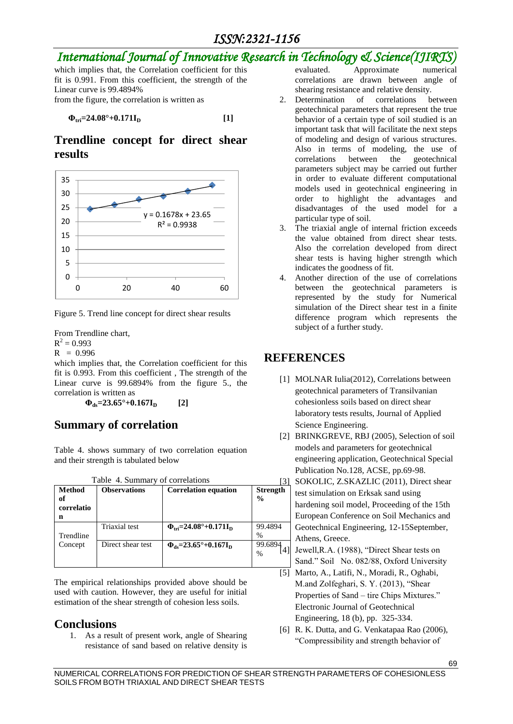# *International Journal of Innovative Research in Technology & Science(IJIRTS)*

which implies that, the Correlation coefficient for this fit is 0.991. From this coefficient, the strength of the Linear curve is 99.4894% from the figure, the correlation is written as

 $\Phi_{\text{tri}} = 24.08^{\circ} + 0.1711_{\text{D}}$  [1]

### **Trendline concept for direct shear results**



Figure 5. Trend line concept for direct shear results

From Trendline chart,  $R^2 = 0.993$  $R = 0.996$ 

which implies that, the Correlation coefficient for this fit is 0.993. From this coefficient , The strength of the Linear curve is 99.6894% from the figure 5., the correlation is written as

 $\Phi_{ds} = 23.65^\circ + 0.167I_p$  [2]

### **Summary of correlation**

Table 4. shows summary of two correlation equation and their strength is tabulated below

| Table 4. Summary of correlations       |                     |                                                         |                                  |
|----------------------------------------|---------------------|---------------------------------------------------------|----------------------------------|
| <b>Method</b><br>of<br>correlatio<br>n | <b>Observations</b> | <b>Correlation equation</b>                             | <b>Strength</b><br>$\frac{0}{0}$ |
| Trendline                              | Triaxial test       | $\Phi_{\rm tri} = 24.08^{\circ} + 0.171 I_{\rm D}$      | 99.4894<br>$\%$                  |
| Concept                                | Direct shear test   | $\Phi_{\text{ds}} = 23.65^{\circ} + 0.167 I_{\text{D}}$ | 99.68<br>%                       |

The empirical relationships provided above should be used with caution. However, they are useful for initial estimation of the shear strength of cohesion less soils.

### **Conclusions**

1. As a result of present work, angle of Shearing resistance of sand based on relative density is evaluated. Approximate numerical correlations are drawn between angle of shearing resistance and relative density.

- 2. Determination of correlations between geotechnical parameters that represent the true behavior of a certain type of soil studied is an important task that will facilitate the next steps of modeling and design of various structures. Also in terms of modeling, the use of correlations between the geotechnical parameters subject may be carried out further in order to evaluate different computational models used in geotechnical engineering in order to highlight the advantages and disadvantages of the used model for a particular type of soil.
- 3. The triaxial angle of internal friction exceeds the value obtained from direct shear tests. Also the correlation developed from direct shear tests is having higher strength which indicates the goodness of fit.
- 4. Another direction of the use of correlations between the geotechnical parameters is represented by the study for Numerical simulation of the Direct shear test in a finite difference program which represents the subject of a further study.

### **REFERENCES**

- [1] MOLNAR Iulia(2012), Correlations between geotechnical parameters of Transilvanian cohesionless soils based on direct shear laboratory tests results, Journal of Applied Science Engineering.
- [2] BRINKGREVE, RBJ (2005), Selection of soil models and parameters for geotechnical engineering application, Geotechnical Special Publication No.128, ACSE, pp.69-98.

SOKOLIC, Z.SKAZLIC (2011), Direct shear test simulation on Erksak sand using hardening soil model, Proceeding of the 15th European Conference on Soil Mechanics and Geotechnical Engineering, 12-15September, Athens, Greece.

Jewell, R.A. (1988), "Direct Shear tests on Sand." Soil No. 082/88, Oxford University

- [5] Marto, A., Latifi, N., Moradi, R., Oghabi, M.and Zolfeghari, S. Y. (2013), "Shear Properties of Sand – tire Chips Mixtures." Electronic Journal of Geotechnical Engineering, 18 (b), pp. 325-334.
- [6] R. K. Dutta, and G. Venkatapaa Rao (2006), "Compressibility and strength behavior of

NUMERICAL CORRELATIONS FOR PREDICTION OF SHEAR STRENGTH PARAMETERS OF COHESIONLESS SOILS FROM BOTH TRIAXIAL AND DIRECT SHEAR TESTS

69